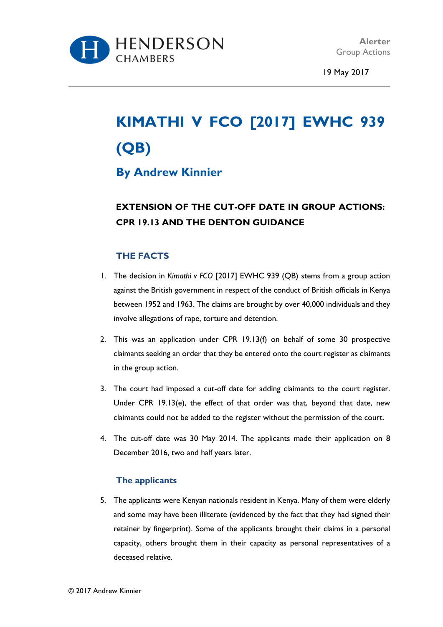

19 May 2017

# **KIMATHI V FCO [2017] EWHC 939 (QB)**

### **By Andrew Kinnier**

## **EXTENSION OF THE CUT-OFF DATE IN GROUP ACTIONS: CPR 19.13 AND THE DENTON GUIDANCE**

#### **THE FACTS**

- 1. The decision in *Kimathi v FCO* [2017] EWHC 939 (QB) stems from a group action against the British government in respect of the conduct of British officials in Kenya between 1952 and 1963. The claims are brought by over 40,000 individuals and they involve allegations of rape, torture and detention.
- 2. This was an application under CPR 19.13(f) on behalf of some 30 prospective claimants seeking an order that they be entered onto the court register as claimants in the group action.
- 3. The court had imposed a cut-off date for adding claimants to the court register. Under CPR 19.13(e), the effect of that order was that, beyond that date, new claimants could not be added to the register without the permission of the court.
- 4. The cut-off date was 30 May 2014. The applicants made their application on 8 December 2016, two and half years later.

#### **The applicants**

5. The applicants were Kenyan nationals resident in Kenya. Many of them were elderly and some may have been illiterate (evidenced by the fact that they had signed their retainer by fingerprint). Some of the applicants brought their claims in a personal capacity, others brought them in their capacity as personal representatives of a deceased relative.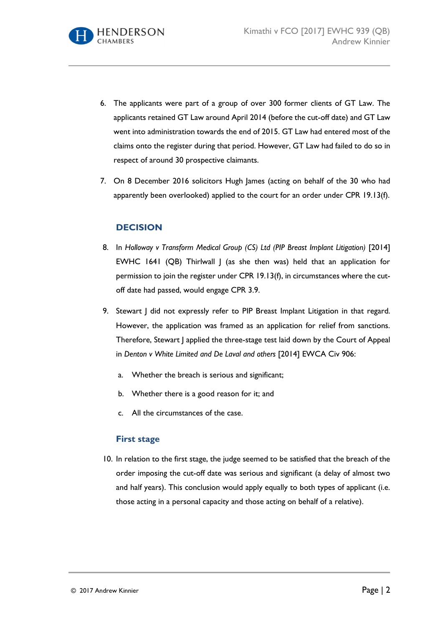- 6. The applicants were part of a group of over 300 former clients of GT Law. The applicants retained GT Law around April 2014 (before the cut-off date) and GT Law went into administration towards the end of 2015. GT Law had entered most of the claims onto the register during that period. However, GT Law had failed to do so in respect of around 30 prospective claimants.
- 7. On 8 December 2016 solicitors Hugh James (acting on behalf of the 30 who had apparently been overlooked) applied to the court for an order under CPR 19.13(f).

#### **DECISION**

- 8. In *Holloway v Transform Medical Group (CS) Ltd (PIP Breast Implant Litigation)* [2014] EWHC 1641 (QB) Thirlwall J (as she then was) held that an application for permission to join the register under CPR 19.13(f), in circumstances where the cutoff date had passed, would engage CPR 3.9.
- 9. Stewart J did not expressly refer to PIP Breast Implant Litigation in that regard. However, the application was framed as an application for relief from sanctions. Therefore, Stewart J applied the three-stage test laid down by the Court of Appeal in *Denton v White Limited and De Laval and others* [2014] EWCA Civ 906:
	- a. Whether the breach is serious and significant;
	- b. Whether there is a good reason for it; and
	- c. All the circumstances of the case.

#### **First stage**

10. In relation to the first stage, the judge seemed to be satisfied that the breach of the order imposing the cut-off date was serious and significant (a delay of almost two and half years). This conclusion would apply equally to both types of applicant (i.e. those acting in a personal capacity and those acting on behalf of a relative).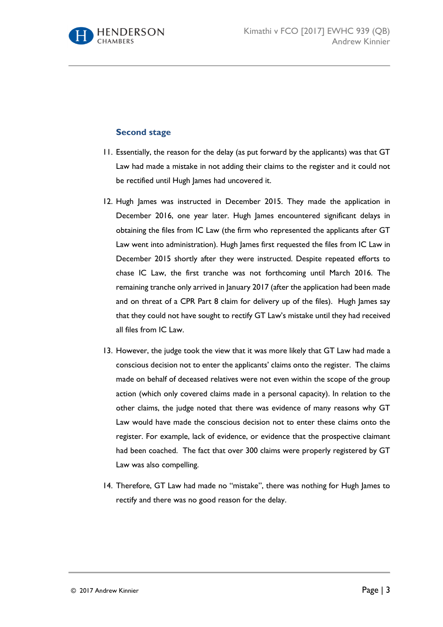

#### **Second stage**

- 11. Essentially, the reason for the delay (as put forward by the applicants) was that GT Law had made a mistake in not adding their claims to the register and it could not be rectified until Hugh James had uncovered it.
- 12. Hugh James was instructed in December 2015. They made the application in December 2016, one year later. Hugh James encountered significant delays in obtaining the files from IC Law (the firm who represented the applicants after GT Law went into administration). Hugh James first requested the files from IC Law in December 2015 shortly after they were instructed. Despite repeated efforts to chase IC Law, the first tranche was not forthcoming until March 2016. The remaining tranche only arrived in January 2017 (after the application had been made and on threat of a CPR Part 8 claim for delivery up of the files). Hugh James say that they could not have sought to rectify GT Law's mistake until they had received all files from IC Law.
- 13. However, the judge took the view that it was more likely that GT Law had made a conscious decision not to enter the applicants' claims onto the register. The claims made on behalf of deceased relatives were not even within the scope of the group action (which only covered claims made in a personal capacity). In relation to the other claims, the judge noted that there was evidence of many reasons why GT Law would have made the conscious decision not to enter these claims onto the register. For example, lack of evidence, or evidence that the prospective claimant had been coached. The fact that over 300 claims were properly registered by GT Law was also compelling.
- 14. Therefore, GT Law had made no "mistake", there was nothing for Hugh James to rectify and there was no good reason for the delay.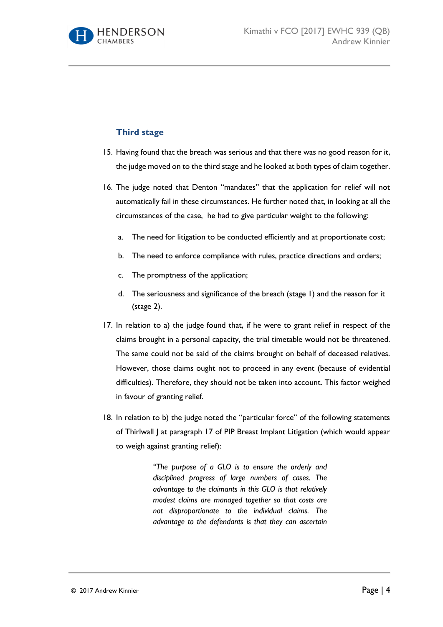

#### **Third stage**

- 15. Having found that the breach was serious and that there was no good reason for it, the judge moved on to the third stage and he looked at both types of claim together.
- 16. The judge noted that Denton "mandates" that the application for relief will not automatically fail in these circumstances. He further noted that, in looking at all the circumstances of the case, he had to give particular weight to the following:
	- a. The need for litigation to be conducted efficiently and at proportionate cost;
	- b. The need to enforce compliance with rules, practice directions and orders;
	- c. The promptness of the application;
	- d. The seriousness and significance of the breach (stage 1) and the reason for it (stage 2).
- 17. In relation to a) the judge found that, if he were to grant relief in respect of the claims brought in a personal capacity, the trial timetable would not be threatened. The same could not be said of the claims brought on behalf of deceased relatives. However, those claims ought not to proceed in any event (because of evidential difficulties). Therefore, they should not be taken into account. This factor weighed in favour of granting relief.
- 18. In relation to b) the judge noted the "particular force" of the following statements of Thirlwall J at paragraph 17 of PIP Breast Implant Litigation (which would appear to weigh against granting relief):

*"The purpose of a GLO is to ensure the orderly and disciplined progress of large numbers of cases. The advantage to the claimants in this GLO is that relatively modest claims are managed together so that costs are not disproportionate to the individual claims. The advantage to the defendants is that they can ascertain*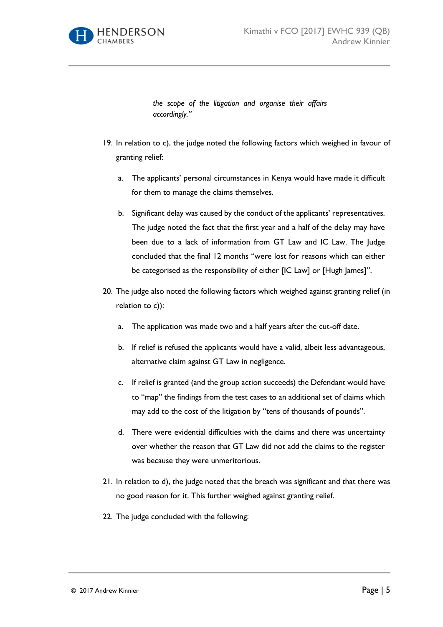

*the scope of the litigation and organise their affairs accordingly."*

- 19. In relation to c), the judge noted the following factors which weighed in favour of granting relief:
	- a. The applicants' personal circumstances in Kenya would have made it difficult for them to manage the claims themselves.
	- b. Significant delay was caused by the conduct of the applicants' representatives. The judge noted the fact that the first year and a half of the delay may have been due to a lack of information from GT Law and IC Law. The Judge concluded that the final 12 months "were lost for reasons which can either be categorised as the responsibility of either [IC Law] or [Hugh James]".
- 20. The judge also noted the following factors which weighed against granting relief (in relation to c)):
	- a. The application was made two and a half years after the cut-off date.
	- b. If relief is refused the applicants would have a valid, albeit less advantageous, alternative claim against GT Law in negligence.
	- c. If relief is granted (and the group action succeeds) the Defendant would have to "map" the findings from the test cases to an additional set of claims which may add to the cost of the litigation by "tens of thousands of pounds".
	- d. There were evidential difficulties with the claims and there was uncertainty over whether the reason that GT Law did not add the claims to the register was because they were unmeritorious.
- 21. In relation to d), the judge noted that the breach was significant and that there was no good reason for it. This further weighed against granting relief.
- 22. The judge concluded with the following: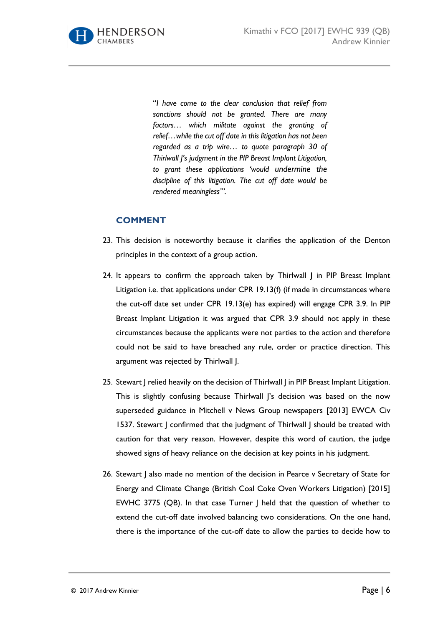

"*I have come to the clear conclusion that relief from sanctions should not be granted. There are many factors… which militate against the granting of relief…while the cut off date in this litigation has not been regarded as a trip wire… to quote paragraph 30 of Thirlwall J's judgment in the PIP Breast Implant Litigation, to grant these applications 'would undermine the discipline of this litigation. The cut off date would be rendered meaningless'".*

#### **COMMENT**

- 23. This decision is noteworthy because it clarifies the application of the Denton principles in the context of a group action.
- 24. It appears to confirm the approach taken by Thirlwall J in PIP Breast Implant Litigation i.e. that applications under CPR 19.13(f) (if made in circumstances where the cut-off date set under CPR 19.13(e) has expired) will engage CPR 3.9. In PIP Breast Implant Litigation it was argued that CPR 3.9 should not apply in these circumstances because the applicants were not parties to the action and therefore could not be said to have breached any rule, order or practice direction. This argument was rejected by Thirlwall J.
- 25. Stewart | relied heavily on the decision of Thirlwall | in PIP Breast Implant Litigation. This is slightly confusing because Thirlwall J's decision was based on the now superseded guidance in Mitchell v News Group newspapers [2013] EWCA Civ 1537. Stewart J confirmed that the judgment of Thirlwall J should be treated with caution for that very reason. However, despite this word of caution, the judge showed signs of heavy reliance on the decision at key points in his judgment.
- 26. Stewart | also made no mention of the decision in Pearce v Secretary of State for Energy and Climate Change (British Coal Coke Oven Workers Litigation) [2015] EWHC 3775 (QB). In that case Turner J held that the question of whether to extend the cut-off date involved balancing two considerations. On the one hand, there is the importance of the cut-off date to allow the parties to decide how to